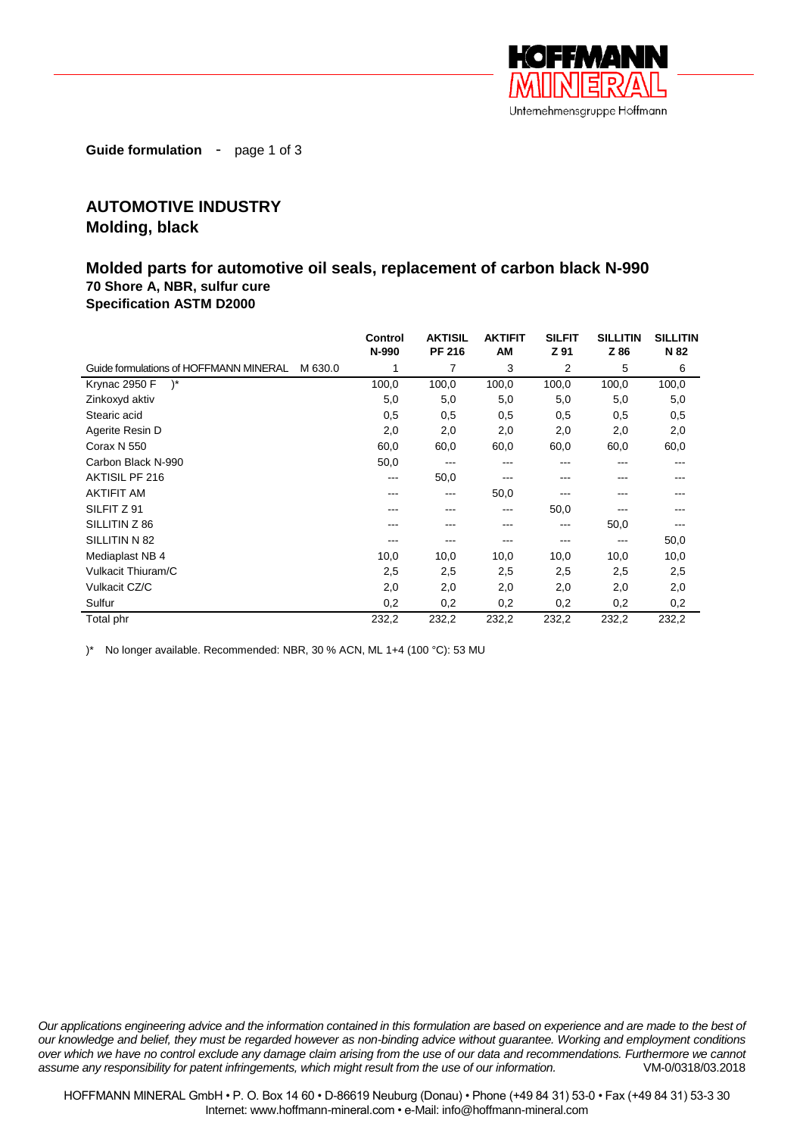

**Guide formulation** - page 1 of 3

## **AUTOMOTIVE INDUSTRY Molding, black**

## **Molded parts for automotive oil seals, replacement of carbon black N-990 70 Shore A, NBR, sulfur cure**

**Specification ASTM D2000**

|                                        |         | Control<br>N-990 | <b>AKTISIL</b><br><b>PF 216</b> | <b>AKTIFIT</b><br>AM | <b>SILFIT</b><br>Z 91 | <b>SILLITIN</b><br>Z 86 | <b>SILLITIN</b><br>N 82 |
|----------------------------------------|---------|------------------|---------------------------------|----------------------|-----------------------|-------------------------|-------------------------|
| Guide formulations of HOFFMANN MINERAL | M 630.0 |                  | 7                               | 3                    | 2                     | 5                       | 6                       |
| $)^{*}$<br>Krynac 2950 F               |         | 100,0            | 100,0                           | 100,0                | 100,0                 | 100,0                   | 100,0                   |
| Zinkoxyd aktiv                         |         | 5,0              | 5,0                             | 5,0                  | 5,0                   | 5,0                     | 5,0                     |
| Stearic acid                           |         | 0,5              | 0,5                             | 0,5                  | 0,5                   | 0,5                     | 0,5                     |
| Agerite Resin D                        |         | 2,0              | 2,0                             | 2,0                  | 2,0                   | 2,0                     | 2,0                     |
| Corax N 550                            |         | 60,0             | 60,0                            | 60,0                 | 60,0                  | 60,0                    | 60,0                    |
| Carbon Black N-990                     |         | 50,0             | ---                             | ---                  | ---                   |                         | ---                     |
| AKTISIL PF 216                         |         | $---$            | 50,0                            | ---                  | ---                   |                         |                         |
| <b>AKTIFIT AM</b>                      |         | ---              | $\qquad \qquad -$               | 50,0                 |                       |                         |                         |
| SILFIT Z 91                            |         | ---              | ---                             | ---                  | 50,0                  |                         |                         |
| SILLITIN Z 86                          |         |                  | ---                             | ---                  | ---                   | 50,0                    |                         |
| SILLITIN N 82                          |         |                  | ---                             | ---                  | ---                   | ---                     | 50,0                    |
| Mediaplast NB 4                        |         | 10,0             | 10,0                            | 10,0                 | 10,0                  | 10,0                    | 10,0                    |
| Vulkacit Thiuram/C                     |         | 2,5              | 2,5                             | 2,5                  | 2,5                   | 2,5                     | 2,5                     |
| Vulkacit CZ/C                          |         | 2,0              | 2,0                             | 2,0                  | 2,0                   | 2,0                     | 2,0                     |
| Sulfur                                 |         | 0,2              | 0,2                             | 0,2                  | 0,2                   | 0,2                     | 0,2                     |
| Total phr                              |         | 232,2            | 232,2                           | 232,2                | 232,2                 | 232,2                   | 232,2                   |

)\* No longer available. Recommended: NBR, 30 % ACN, ML 1+4 (100 °C): 53 MU

*Our applications engineering advice and the information contained in this formulation are based on experience and are made to the best of our knowledge and belief, they must be regarded however as non-binding advice without guarantee. Working and employment conditions over which we have no control exclude any damage claim arising from the use of our data and recommendations. Furthermore we cannot assume any responsibility for patent infringements, which might result from the use of our information.* VM-0/0318/03.2018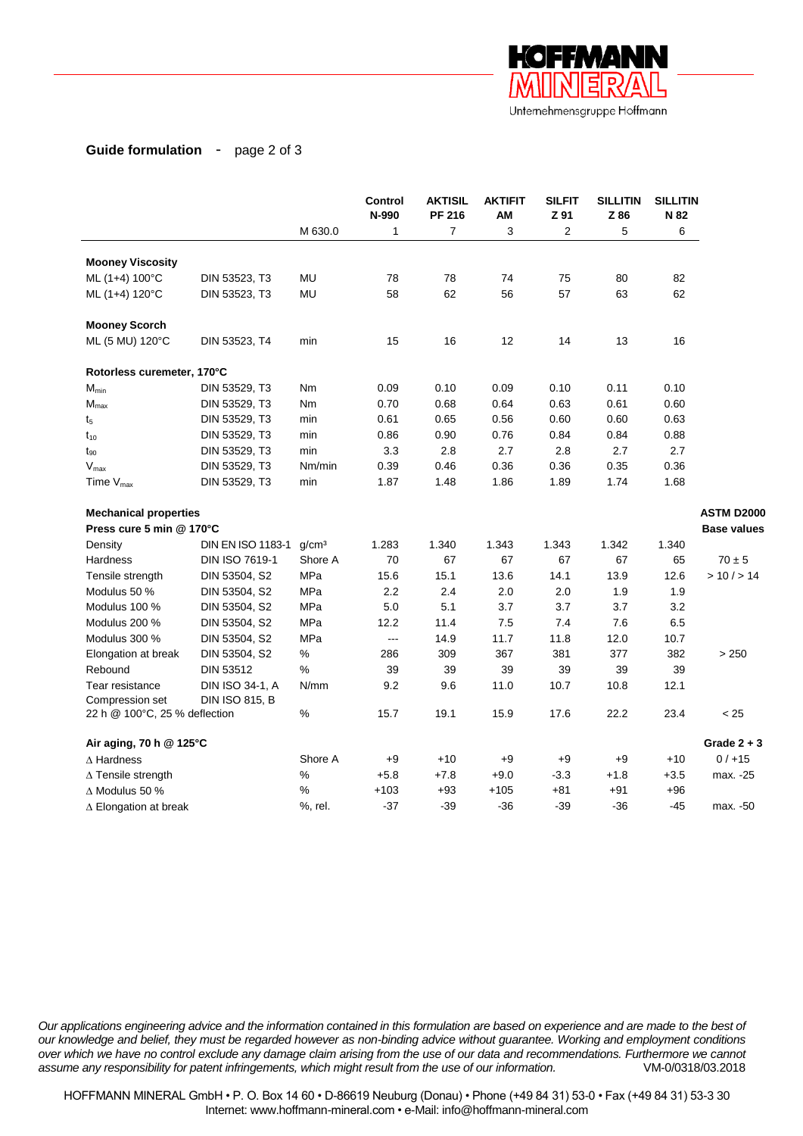

## **Guide formulation** - page 2 of 3

|                               |                       |                   | Control<br>N-990 | <b>AKTISIL</b><br><b>PF 216</b> | <b>AKTIFIT</b><br>AM | <b>SILFIT</b><br>Z 91 | <b>SILLITIN</b><br>Z 86 | <b>SILLITIN</b><br>N 82 |                    |
|-------------------------------|-----------------------|-------------------|------------------|---------------------------------|----------------------|-----------------------|-------------------------|-------------------------|--------------------|
|                               |                       | M 630.0           | $\mathbf{1}$     | $\overline{7}$                  | 3                    | $\overline{2}$        | 5                       | 6                       |                    |
| <b>Mooney Viscosity</b>       |                       |                   |                  |                                 |                      |                       |                         |                         |                    |
| ML (1+4) 100°C                | DIN 53523, T3         | MU                | 78               | 78                              | 74                   | 75                    | 80                      | 82                      |                    |
| ML (1+4) 120°C                | DIN 53523, T3         | MU                | 58               | 62                              | 56                   | 57                    | 63                      | 62                      |                    |
| <b>Mooney Scorch</b>          |                       |                   |                  |                                 |                      |                       |                         |                         |                    |
| ML (5 MU) 120°C               | DIN 53523, T4         | min               | 15               | 16                              | 12                   | 14                    | 13                      | 16                      |                    |
| Rotorless curemeter, 170°C    |                       |                   |                  |                                 |                      |                       |                         |                         |                    |
| $M_{min}$                     | DIN 53529, T3         | Nm                | 0.09             | 0.10                            | 0.09                 | 0.10                  | 0.11                    | 0.10                    |                    |
| $M_{\textrm{max}}$            | DIN 53529, T3         | Nm                | 0.70             | 0.68                            | 0.64                 | 0.63                  | 0.61                    | 0.60                    |                    |
| t <sub>5</sub>                | DIN 53529, T3         | min               | 0.61             | 0.65                            | 0.56                 | 0.60                  | 0.60                    | 0.63                    |                    |
| $t_{10}$                      | DIN 53529, T3         | min               | 0.86             | 0.90                            | 0.76                 | 0.84                  | 0.84                    | 0.88                    |                    |
| $t_{90}$                      | DIN 53529, T3         | min               | 3.3              | 2.8                             | 2.7                  | 2.8                   | 2.7                     | 2.7                     |                    |
| $\mathsf{V}_{\mathsf{max}}$   | DIN 53529, T3         | Nm/min            | 0.39             | 0.46                            | 0.36                 | 0.36                  | 0.35                    | 0.36                    |                    |
| Time $V_{\text{max}}$         | DIN 53529, T3         | min               | 1.87             | 1.48                            | 1.86                 | 1.89                  | 1.74                    | 1.68                    |                    |
| <b>Mechanical properties</b>  |                       |                   |                  |                                 |                      |                       |                         |                         | <b>ASTM D2000</b>  |
| Press cure 5 min @ 170°C      |                       |                   |                  |                                 |                      |                       |                         |                         | <b>Base values</b> |
| Density                       | DIN EN ISO 1183-1     | q/cm <sup>3</sup> | 1.283            | 1.340                           | 1.343                | 1.343                 | 1.342                   | 1.340                   |                    |
| <b>Hardness</b>               | DIN ISO 7619-1        | Shore A           | 70               | 67                              | 67                   | 67                    | 67                      | 65                      | $70 \pm 5$         |
| Tensile strength              | DIN 53504, S2         | MPa               | 15.6             | 15.1                            | 13.6                 | 14.1                  | 13.9                    | 12.6                    | > 10 / > 14        |
| Modulus 50 %                  | DIN 53504, S2         | MPa               | 2.2              | 2.4                             | 2.0                  | 2.0                   | 1.9                     | 1.9                     |                    |
| Modulus 100 %                 | DIN 53504, S2         | MPa               | 5.0              | 5.1                             | 3.7                  | 3.7                   | 3.7                     | 3.2                     |                    |
| Modulus 200 %                 | DIN 53504, S2         | MPa               | 12.2             | 11.4                            | 7.5                  | 7.4                   | 7.6                     | 6.5                     |                    |
| Modulus 300 %                 | DIN 53504, S2         | MPa               | $\sim$ $\sim$    | 14.9                            | 11.7                 | 11.8                  | 12.0                    | 10.7                    |                    |
| Elongation at break           | DIN 53504, S2         | %                 | 286              | 309                             | 367                  | 381                   | 377                     | 382                     | > 250              |
| Rebound                       | DIN 53512             | ℅                 | 39               | 39                              | 39                   | 39                    | 39                      | 39                      |                    |
| Tear resistance               | DIN ISO 34-1, A       | N/mm              | 9.2              | 9.6                             | 11.0                 | 10.7                  | 10.8                    | 12.1                    |                    |
| Compression set               | <b>DIN ISO 815, B</b> |                   |                  |                                 |                      |                       |                         |                         |                    |
| 22 h @ 100°C, 25 % deflection |                       | $\%$              | 15.7             | 19.1                            | 15.9                 | 17.6                  | 22.2                    | 23.4                    | < 25               |
| Air aging, 70 h @ 125°C       |                       |                   |                  |                                 |                      |                       |                         |                         | Grade $2 + 3$      |
| $\Delta$ Hardness             |                       | Shore A           | $+9$             | $+10$                           | $+9$                 | $+9$                  | $+9$                    | $+10$                   | 0/115              |
| $\Delta$ Tensile strength     |                       | ℅                 | $+5.8$           | $+7.8$                          | $+9.0$               | $-3.3$                | $+1.8$                  | $+3.5$                  | max. -25           |
| $\Delta$ Modulus 50 %         |                       | ℅                 | $+103$           | $+93$                           | $+105$               | $+81$                 | $+91$                   | $+96$                   |                    |
| $\Delta$ Elongation at break  |                       | %, rel.           | $-37$            | $-39$                           | $-36$                | $-39$                 | $-36$                   | $-45$                   | max. -50           |

*Our applications engineering advice and the information contained in this formulation are based on experience and are made to the best of our knowledge and belief, they must be regarded however as non-binding advice without guarantee. Working and employment conditions over which we have no control exclude any damage claim arising from the use of our data and recommendations. Furthermore we cannot assume any responsibility for patent infringements, which might result from the use of our information.* VM-0/0318/03.2018